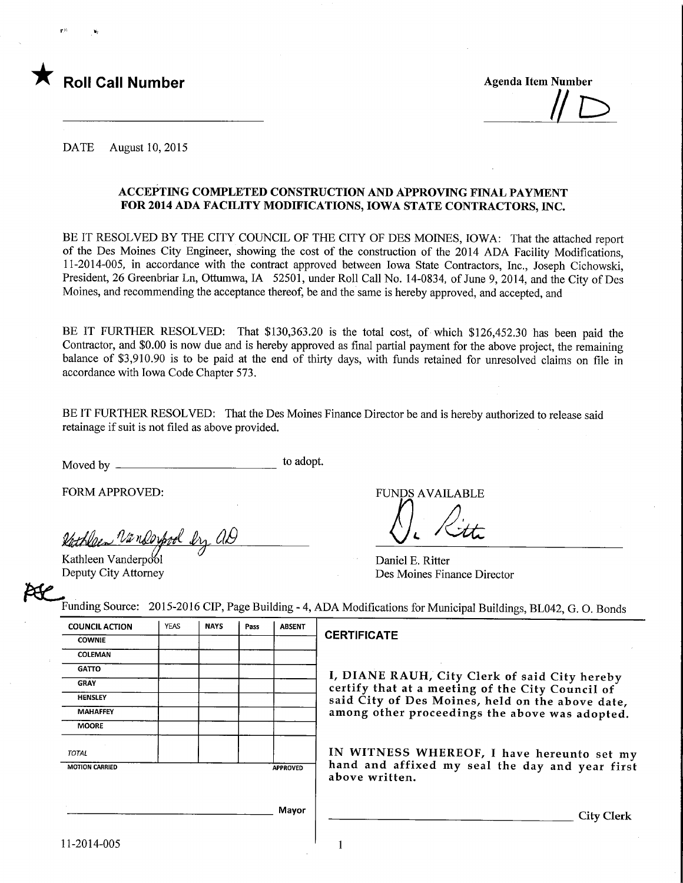

r" >j

 $\#$ 

DATE August 10, 2015

### ACCEPTING COMPLETED CONSTRUCTION AND APPROVING FINAL PAYMENT FOR 2014 ADA FACUJTY MODIFICATIONS, IOWA STATE CONTRACTORS, INC.

BE IT RESOLVED BY THE CITY COUNCIL OF THE CITY OF DES MOINES, IOWA: That the attached report of the Des Moines City Engineer, showing the cost of the construction of the 2014 ADA Facility Modifications, 11-2014-005, in accordance with the contract approved between Iowa State Contractors, Inc., Joseph Cichowski, President, 26 Greenbriar Ln, Ottumwa, IA 52501, under Roll Call No. 14-0834, of June 9, 2014, and the City of Des Moines, and recommending the acceptance thereof, be and the same is hereby approved, and accepted, and

BE IT FURTHER RESOLVED: That \$130,363.20 is the total cost, of which \$126,452.30 has been paid the Contractor, and \$0.00 is now due and is hereby approved as final partial payment for the above project, the remaining balance of \$3,910.90 is to be paid at the end of thirty days, with funds retained for unresolved claims on file in accordance with Iowa Code Chapter 573.

BE IT FURTHER RESOLVED: That the Des Moines Finance Director be and is hereby authorized to release said retainage if suit is not filed as above provided.

Moved by  $\frac{1}{\sqrt{1-\frac{1}{\sqrt{1-\frac{1}{\sqrt{1-\frac{1}{\sqrt{1-\frac{1}{\sqrt{1-\frac{1}{\sqrt{1-\frac{1}{\sqrt{1-\frac{1}{\sqrt{1-\frac{1}{\sqrt{1-\frac{1}{\sqrt{1-\frac{1}{\sqrt{1-\frac{1}{\sqrt{1-\frac{1}{\sqrt{1-\frac{1}{\sqrt{1-\frac{1}{\sqrt{1-\frac{1}{\sqrt{1-\frac{1}{\sqrt{1-\frac{1}{\sqrt{1-\frac{1}{\sqrt{1-\frac{1}{\sqrt{1-\frac{1}{\sqrt{1-\frac{1}{\sqrt{1-\frac{1}{\sqrt{1-\frac{1$ 

FORM APPROVED:

<u>Nänderpool bry AD</u>

Kathleen Vanderpool Deputy City Attorney FUNDS AVAILABLE

Daniel E. Ritter Des Moines Finance Director

Funding Source: 2015-2016 CIP, Page Building - 4, ADA Modifications for Municipal Buildings, BL042, G. 0. Bonds

| <b>COUNCIL ACTION</b> | <b>YEAS</b> | <b>NAYS</b> | Pass | <b>ABSENT</b>   |  |
|-----------------------|-------------|-------------|------|-----------------|--|
| <b>COWNIE</b>         |             |             |      |                 |  |
| COLEMAN               |             |             |      |                 |  |
| <b>GATTO</b>          |             |             |      |                 |  |
| <b>GRAY</b>           |             |             |      |                 |  |
| <b>HENSLEY</b>        |             |             |      |                 |  |
| <b>MAHAFFEY</b>       |             |             |      |                 |  |
| <b>MOORE</b>          |             |             |      |                 |  |
| <b>TOTAL</b>          |             |             |      |                 |  |
| <b>MOTION CARRIED</b> |             |             |      | <b>APPROVED</b> |  |
|                       |             |             |      | Mayor           |  |
|                       |             |             |      |                 |  |

#### CERTIFICATE

I, DIANE RAUH, City Clerk of said City hereby certify that at a meeting of the City Council of said City of Des Moines, held on the above date, among other proceedings the above was adopted.

IN WITNESS WHEREOF, I have hereunto set my hand and affixed my seal the day and year first above written.

**City Clerk** 

11-2014-005

1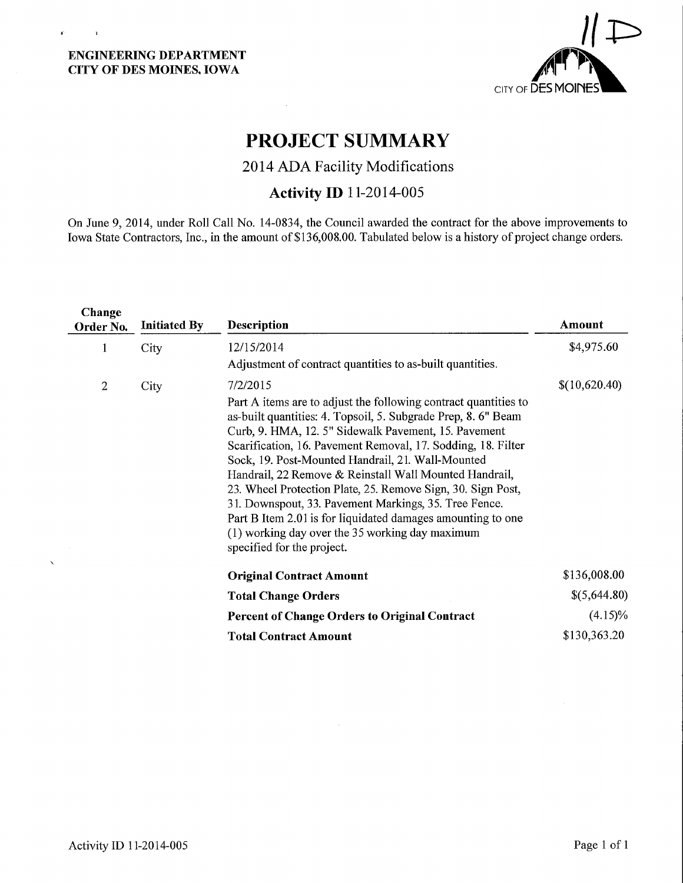$\mathbf{r}^{\mathrm{in}}$  ,  $\mathbf{r}^{\mathrm{in}}$  ,  $\mathbf{r}^{\mathrm{in}}$ 



# PROJECT SUMMARY

 $\mathcal{A}^{\prime}$ 

2014 ADA Facility Modifications

## Activity ID 11-2014-005

On June 9, 2014, under Roll Call No. 14-0834, the Council awarded the contract for the above improvements to Iowa State Contractors, Inc., in the amount of \$136,008.00. Tabulated below is a history of project change orders.

| Change<br>Order No. | <b>Initiated By</b> | <b>Description</b>                                                                                                                                                                                                                                                                                                                                                                                                                                                                                                                                                                                                                                          | Amount        |
|---------------------|---------------------|-------------------------------------------------------------------------------------------------------------------------------------------------------------------------------------------------------------------------------------------------------------------------------------------------------------------------------------------------------------------------------------------------------------------------------------------------------------------------------------------------------------------------------------------------------------------------------------------------------------------------------------------------------------|---------------|
| 1                   | City                | 12/15/2014<br>Adjustment of contract quantities to as-built quantities.                                                                                                                                                                                                                                                                                                                                                                                                                                                                                                                                                                                     | \$4,975.60    |
| $\overline{2}$      | City                | 7/2/2015<br>Part A items are to adjust the following contract quantities to<br>as-built quantities: 4. Topsoil, 5. Subgrade Prep, 8. 6" Beam<br>Curb, 9. HMA, 12. 5" Sidewalk Pavement, 15. Pavement<br>Scarification, 16. Pavement Removal, 17. Sodding, 18. Filter<br>Sock, 19. Post-Mounted Handrail, 21. Wall-Mounted<br>Handrail, 22 Remove & Reinstall Wall Mounted Handrail,<br>23. Wheel Protection Plate, 25. Remove Sign, 30. Sign Post,<br>31. Downspout, 33. Pavement Markings, 35. Tree Fence.<br>Part B Item 2.01 is for liquidated damages amounting to one<br>(1) working day over the 35 working day maximum<br>specified for the project. | \$(10,620.40) |
|                     |                     | <b>Original Contract Amount</b>                                                                                                                                                                                                                                                                                                                                                                                                                                                                                                                                                                                                                             | \$136,008.00  |
|                     |                     | <b>Total Change Orders</b>                                                                                                                                                                                                                                                                                                                                                                                                                                                                                                                                                                                                                                  | \$(5,644.80)  |
|                     |                     | <b>Percent of Change Orders to Original Contract</b>                                                                                                                                                                                                                                                                                                                                                                                                                                                                                                                                                                                                        | $(4.15)\%$    |
|                     |                     | <b>Total Contract Amount</b>                                                                                                                                                                                                                                                                                                                                                                                                                                                                                                                                                                                                                                | \$130,363.20  |

 $\bar{\mathcal{A}}$ 

 $\bar{\mathbf{x}}$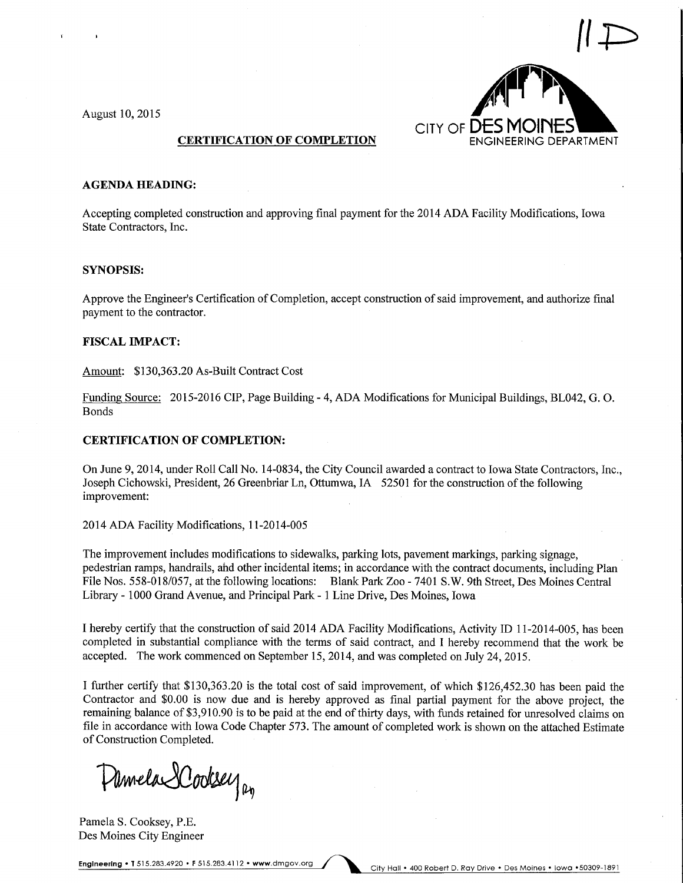

#### AGENDA HEADING:

Accepting completed construction and approving final payment for the 2014 ADA Facility Modifications, Iowa State Contractors, Inc.

#### SYNOPSIS:

Approve the Engineer's Certification of Completion, accept construction of said improvement, and authorize final payment to the contractor.

#### FISCAL IMPACT:

Amount: \$130,363.20 As-Built Contract Cost

Funding Source: 2015-2016 CIP, Page Building - 4, ADA Modifications for Municipal Buildings, BL042, G.O. Bonds

#### CERTIFICATION OF COMPLETION:

On June 9, 2014, under Roll Call No. 14-0834, the City Council awarded a contract to Iowa State Contractors, Inc., Joseph Cichowski, President, 26 Greenbriar Ln, Ottumwa, IA 52501 for the construction of the following improvement:

2014 ADA Facility Modifications, 1 1-2014-005

The improvement includes modifications to sidewalks, parking lots, pavement markings, parking signage, pedestrian ramps, handrails, ahd other incidental items; in accordance with the contract documents, including Plan File Nos. 558-018/057, at the following locations: Blank Park Zoo - 7401 S.W. 9th Street, Des Moines Central Library - 1000 Grand Avenue, and Principal Park - 1 Line Drive, Des Moines, Iowa

I hereby certify that the construction of said 2014 ADA Facility Modifications, Activity ID 11-2014-005, has been completed in substantial compliance with the terms of said contract, and I hereby recommend that the work be accepted. The work commenced on September 15, 2014, and was completed on July 24, 2015.

I further certify that \$130,363.20 is the total cost of said improvement, of which \$126,452.30 has been paid the Contractor and \$0.00 is now due and is hereby approved as final partial payment for the above project, the remaining balance of \$3,910.90 is to be paid at the end of thirty days, with funds retained for unresolved claims on file in accordance with Iowa Code Chapter 573. The amount of completed work is shown on the attached Estimate of Construction Completed.

Damela Dodsey

Pamela S. Cooksey, P.E. Des Moines City Engineer

Engineering . T 515.283.4920 . F 515.283.4112 . www.dmgov.org / ^ ^ City Hall . 400 Robert D. Ray Drive . Des Moines . lowa . 50309-1891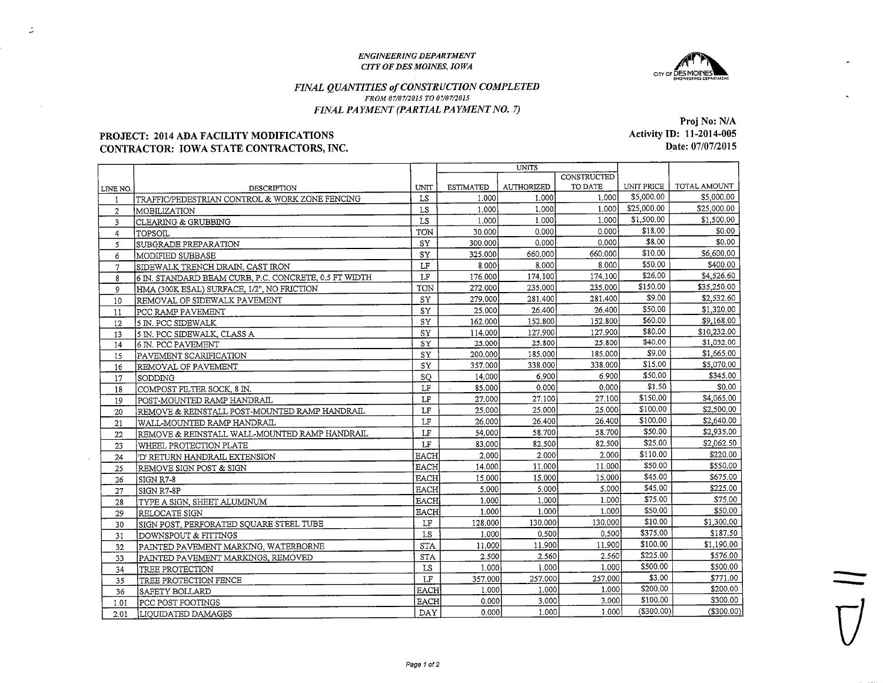#### ENGINEERING DEPARTMENTCITY OFDES MOINES. IOWA



### FINAL QUANTITIES of CONSTRUCTION COMPLETEDFROM 97/07/2015 TO 07/07/2015FINAL PAYMENT (PARTIAL PAYMENT NO. 7)

#### PROJECT: 2014 ADA FACILITY MODIFICATIONSCONTRACTOR: IOWA STATE CONTRACTORS, INC.

 $\mathcal{Z}$ 

Activity ID: 11-2014-005 Date: 07/07/2015

|                |                                                       |             | <b>UNITS</b>     |                   |             |             |              |
|----------------|-------------------------------------------------------|-------------|------------------|-------------------|-------------|-------------|--------------|
|                |                                                       |             |                  |                   | CONSTRUCTED |             |              |
| LINE NO.       | DESCRIPTION                                           | UNIT        | <b>ESTIMATED</b> | <b>AUTHORIZED</b> | TO DATE     | UNIT PRICE  | TOTAL AMOUNT |
|                | TRAFFIC/PEDESTRIAN CONTROL & WORK ZONE FENCING        | LS          | 1.000            | 1.000             | 1.000       | \$5,000.00  | \$5,000.00   |
| $\overline{2}$ | MOBILIZATION                                          | LS          | 1.000            | 1.000             | 1.000       | \$25,000.00 | \$25,000.00  |
| 3              | <b>CLEARING &amp; GRUBBING</b>                        | LS          | 1.000            | 1.000             | 1.000       | \$1,500.00  | \$1,500.00   |
| $\overline{4}$ | TOPSOIL                                               | TON         | 30.000           | 0.000             | 0.000       | \$18.00     | \$0.00       |
| 5              | SUBGRADE PREPARATION                                  | SY          | 300,000          | 0.000             | 0.000       | \$8.00      | \$0.00       |
| 6              | MODIFIED SUBBASE                                      | SY          | 325,000          | 660.000           | 660.000     | \$10.00     | \$6,600.00   |
| $\overline{7}$ | SIDEWALK TRENCH DRAIN, CAST IRON                      | $\rm LF$    | 8.000            | 8.000             | 8.000       | \$50.00     | \$400.00     |
| 8              | 6 IN. STANDARD BEAM CURB, P.C. CONCRETE, 0.5 FT WIDTH | LF          | 176,000          | 174,100           | 174.100     | \$26.00     | \$4,526.60   |
| $\overline{9}$ | HMA (300K ESAL) SURFACE, 1/2", NO FRICTION            | TON         | 272.000          | 235.000           | 235.000     | \$150.00    | \$35,250.00  |
| 10             | REMOVAL OF SIDEWALK PAVEMENT                          | SY          | 279,000          | 281.400           | 281.400     | \$9.00      | \$2,532.60   |
| 11             | PCC RAMP PAVEMENT                                     | SY          | 25.000           | 26,400            | 26,400      | \$50.00     | \$1,320,00   |
| 12             | 5 IN. PCC SIDEWALK                                    | SY          | 162.000          | 152.800           | 152.800     | \$60.00     | \$9,168.00   |
| 13             | 5 IN. PCC SIDEWALK, CLASS A                           | SY          | 114.000          | 127,900           | 127.900     | \$80.00     | \$10,232.00  |
| 14             | 6 IN. PCC PAVEMENT                                    | SY          | 25,000           | 25,800            | 25.800      | \$40.00     | \$1,032.00   |
| 15             | PAVEMENT SCARIFICATION                                | SY          | 200.000          | 185,000           | 185,000     | \$9.00      | \$1,665.00   |
| 16             | REMOVAL OF PAVEMENT                                   | ${\rm SY}$  | 357,000          | 338,000           | 338,000     | \$15.00     | \$5,070.00   |
| 17             | SODDING                                               | SO          | 14.000           | 6.900             | 6.900       | \$50.00     | \$345.00     |
| 18             | COMPOST FILTER SOCK, 8 IN.                            | LF          | 85,000           | 0,000             | 0.000       | \$1.50      | \$0.00       |
| 19             | POST-MOUNTED RAMP HANDRAIL                            | LF          | 27.000           | 27,100            | 27.100      | \$150.00    | \$4,065.00   |
| 20             | REMOVE & REINSTALL POST-MOUNTED RAMP HANDRAIL         | LF          | 25.000           | 25,000            | 25.000      | \$100.00    | \$2,500.00   |
| 21             | WALL-MOUNTED RAMP HANDRAIL                            | LF          | 26.000           | 26,400            | 26,400      | \$100.00    | \$2,640.00   |
| 22             | REMOVE & REINSTALL WALL-MOUNTED RAMP HANDRAIL         | $\rm LF$    | 54.000           | 58,700            | 58,700      | \$50.00     | \$2,935.00   |
| 23             | WHEEL PROTECTION PLATE                                | LF          | 83,000           | 82.500            | 82,500      | \$25,00     | \$2,062.50   |
| 24             | 'D' RETURN HANDRAIL EXTENSION                         | <b>EACH</b> | 2.000            | 2.000             | 2.000       | \$110.00    | \$220,00     |
| 25             | REMOVE SIGN POST & SIGN                               | <b>EACH</b> | 14,000           | 11.000            | 11.000      | \$50.00     | \$550.00     |
| 26             | SIGN R7-8                                             | <b>EACH</b> | 15.000           | 15,000            | 15.000      | \$45.00     | \$675.00     |
| 27             | SIGN R7-8P                                            | <b>EACH</b> | 5.000            | 5.000             | 5.000       | \$45.00     | \$225.00     |
| 28             | TYPE A SIGN, SHEET ALUMINUM                           | <b>EACH</b> | 1.000            | 1.000             | 1.000       | \$75,00     | \$75.00      |
| 29             | RELOCATE SIGN                                         | <b>EACH</b> | 1.000            | 1.000             | 1.000       | \$50.00     | \$50.00      |
| 30             | SIGN POST, PERFORATED SQUARE STEEL TUBE               | LF          | 128.000          | 130.000           | 130.000     | \$10.00     | \$1,300.00   |
| 31             | DOWNSPOUT & FITTINGS                                  | LS          | 1.000            | 0.500             | 0.500       | \$375.00    | \$187.50     |
| 32             | PAINTED PAVEMENT MARKING, WATERBORNE                  | <b>STA</b>  | 11.000           | 11.900            | 11.900      | \$100.00    | \$1,190.00   |
| 33             | PAINTED PAVEMENT MARKINGS, REMOVED                    | <b>STA</b>  | 2.500            | 2.560             | 2.560       | \$225,00    | \$576.00     |
| 34             | <b>TREE PROTECTION</b>                                | LS          | 1.000            | 1.000             | 1.000       | \$500.00    | \$500.00     |
| 35             | TREE PROTECTION FENCE                                 | LF          | 357.000          | 257.000           | 257,000     | \$3.00      | \$771.00     |
| 36             | SAFETY BOLLARD                                        | <b>EACH</b> | 1.000            | 1.000             | 1.000       | \$200.00    | \$200,00     |
| 1.01           | PCC POST FOOTINGS                                     | <b>EACH</b> | 0.000            | 3.000             | 3.000       | \$100.00    | \$300.00     |
| 2.01           | LIOUIDATED DAMAGES                                    | <b>DAY</b>  | 0.0001           | 1.000             | 1.000       | (\$300.00)  | (\$300.00)   |